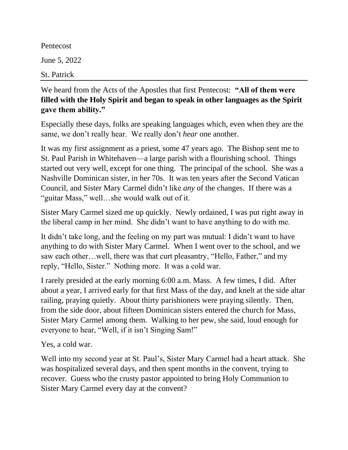Pentecost June 5, 2022

St. Patrick

## We heard from the Acts of the Apostles that first Pentecost: **"All of them were filled with the Holy Spirit and began to speak in other languages as the Spirit gave them ability."**

Especially these days, folks are speaking languages which, even when they are the same, we don't really hear. We really don't *hear* one another.

It was my first assignment as a priest, some 47 years ago. The Bishop sent me to St. Paul Parish in Whitehaven—a large parish with a flourishing school. Things started out very well, except for one thing. The principal of the school. She was a Nashville Dominican sister, in her 70s. It was ten years after the Second Vatican Council, and Sister Mary Carmel didn't like *any* of the changes. If there was a "guitar Mass," well…she would walk out of it.

Sister Mary Carmel sized me up quickly. Newly ordained, I was put right away in the liberal camp in her mind. She didn't want to have anything to do with me.

It didn't take long, and the feeling on my part was mutual: I didn't want to have anything to do with Sister Mary Carmel. When I went over to the school, and we saw each other…well, there was that curt pleasantry, "Hello, Father," and my reply, "Hello, Sister." Nothing more. It was a cold war.

I rarely presided at the early morning 6:00 a.m. Mass. A few times, I did. After about a year, I arrived early for that first Mass of the day, and knelt at the side altar railing, praying quietly. About thirty parishioners were praying silently. Then, from the side door, about fifteen Dominican sisters entered the church for Mass, Sister Mary Carmel among them. Walking to her pew, she said, loud enough for everyone to hear, "Well, if it isn't Singing Sam!"

Yes, a cold war.

Well into my second year at St. Paul's, Sister Mary Carmel had a heart attack. She was hospitalized several days, and then spent months in the convent, trying to recover. Guess who the crusty pastor appointed to bring Holy Communion to Sister Mary Carmel every day at the convent?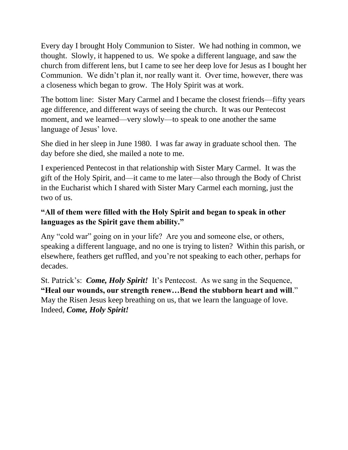Every day I brought Holy Communion to Sister. We had nothing in common, we thought. Slowly, it happened to us. We spoke a different language, and saw the church from different lens, but I came to see her deep love for Jesus as I bought her Communion. We didn't plan it, nor really want it. Over time, however, there was a closeness which began to grow. The Holy Spirit was at work.

The bottom line: Sister Mary Carmel and I became the closest friends—fifty years age difference, and different ways of seeing the church. It was our Pentecost moment, and we learned—very slowly—to speak to one another the same language of Jesus' love.

She died in her sleep in June 1980. I was far away in graduate school then. The day before she died, she mailed a note to me.

I experienced Pentecost in that relationship with Sister Mary Carmel. It was the gift of the Holy Spirit, and—it came to me later—also through the Body of Christ in the Eucharist which I shared with Sister Mary Carmel each morning, just the two of us.

## **"All of them were filled with the Holy Spirit and began to speak in other languages as the Spirit gave them ability."**

Any "cold war" going on in your life? Are you and someone else, or others, speaking a different language, and no one is trying to listen? Within this parish, or elsewhere, feathers get ruffled, and you're not speaking to each other, perhaps for decades.

St. Patrick's: *Come, Holy Spirit!* It's Pentecost. As we sang in the Sequence, **"Heal our wounds, our strength renew…Bend the stubborn heart and will**." May the Risen Jesus keep breathing on us, that we learn the language of love. Indeed, *Come, Holy Spirit!*